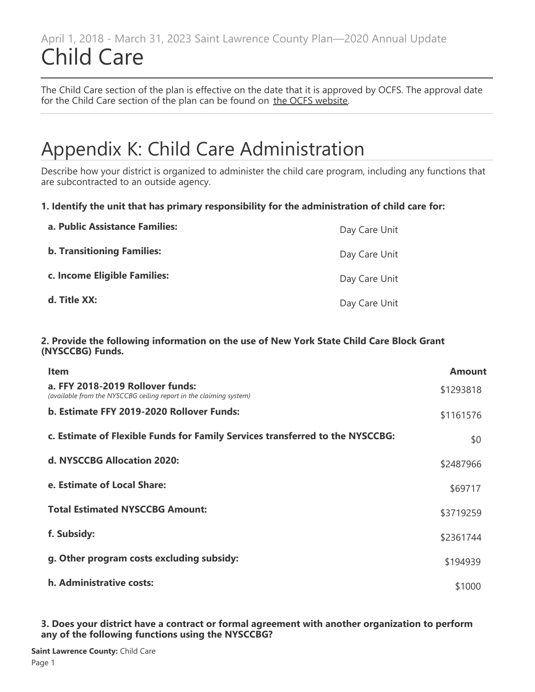### April 1, 2018 - March 31, 2023 Saint Lawrence County Plan—2020 Annual Update Child Care

The Child Care section of the plan is effective on the date that it is approved by OCFS. The approval date for the Child Care section of the plan can be found on [the OCFS website](https://ocfs.ny.gov/main/childcare/plans/plans.asp).

# Appendix K: Child Care Administration

Describe how your district is organized to administer the child care program, including any functions that are subcontracted to an outside agency.

### **1. Identify the unit that has primary responsibility for the administration of child care for:**

| a. Public Assistance Families:    | Day Care Unit |
|-----------------------------------|---------------|
| <b>b. Transitioning Families:</b> | Day Care Unit |
| c. Income Eligible Families:      | Day Care Unit |
| d. Title XX:                      | Day Care Unit |

### **2. Provide the following information on the use of New York State Child Care Block Grant (NYSCCBG) Funds.**

| <b>Item</b>                                                                                            | Amount    |
|--------------------------------------------------------------------------------------------------------|-----------|
| a. FFY 2018-2019 Rollover funds:<br>(available from the NYSCCBG ceiling report in the claiming system) | \$1293818 |
| b. Estimate FFY 2019-2020 Rollover Funds:                                                              | \$1161576 |
| c. Estimate of Flexible Funds for Family Services transferred to the NYSCCBG:                          | \$0       |
| d. NYSCCBG Allocation 2020:                                                                            | \$2487966 |
| e. Estimate of Local Share:                                                                            | \$69717   |
| <b>Total Estimated NYSCCBG Amount:</b>                                                                 | \$3719259 |
| f. Subsidy:                                                                                            | \$2361744 |
| g. Other program costs excluding subsidy:                                                              | \$194939  |
| h. Administrative costs:                                                                               | \$1000    |

### **3. Does your district have a contract or formal agreement with another organization to perform** any of the following functions using the NYSCCBG?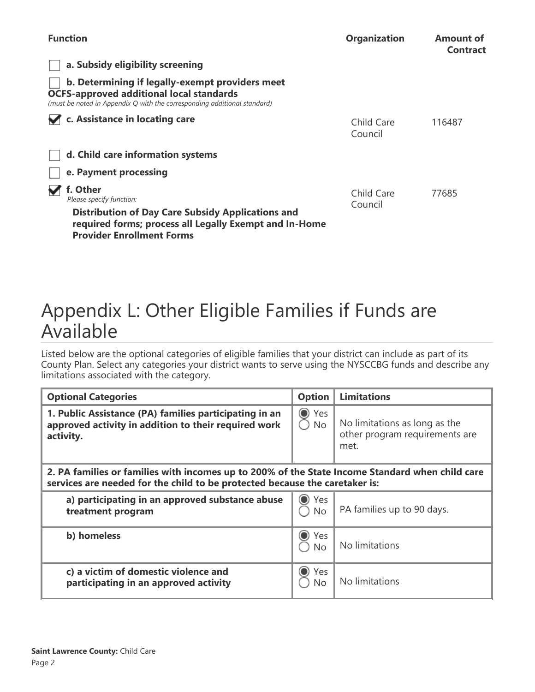| <b>Function</b>                                                                                                                                                                                | <b>Organization</b>   | <b>Amount of</b><br><b>Contract</b> |
|------------------------------------------------------------------------------------------------------------------------------------------------------------------------------------------------|-----------------------|-------------------------------------|
| a. Subsidy eligibility screening                                                                                                                                                               |                       |                                     |
| b. Determining if legally-exempt providers meet<br><b>OCFS-approved additional local standards</b><br>(must be noted in Appendix Q with the corresponding additional standard)                 |                       |                                     |
| c. Assistance in locating care                                                                                                                                                                 | Child Care<br>Council | 116487                              |
| d. Child care information systems                                                                                                                                                              |                       |                                     |
| e. Payment processing                                                                                                                                                                          |                       |                                     |
| f. Other<br>Please specify function:<br><b>Distribution of Day Care Subsidy Applications and</b><br>required forms; process all Legally Exempt and In-Home<br><b>Provider Enrollment Forms</b> | Child Care<br>Council | 77685                               |

# Appendix L: Other Eligible Families if Funds are Available

Listed below are the optional categories of eligible families that your district can include as part of its County Plan. Select any categories your district wants to serve using the NYSCCBG funds and describe any limitations associated with the category.

| <b>Optional Categories</b>                                                                                                                                                     | <b>Option</b>                     | <b>Limitations</b>                                                      |  |
|--------------------------------------------------------------------------------------------------------------------------------------------------------------------------------|-----------------------------------|-------------------------------------------------------------------------|--|
| 1. Public Assistance (PA) families participating in an<br>approved activity in addition to their required work<br>activity.                                                    | $\bullet$<br>Yes<br>$\bigcirc$ No | No limitations as long as the<br>other program requirements are<br>met. |  |
| 2. PA families or families with incomes up to 200% of the State Income Standard when child care<br>services are needed for the child to be protected because the caretaker is: |                                   |                                                                         |  |
| a) participating in an approved substance abuse<br>treatment program                                                                                                           | $\odot$<br>Yes<br>$\bigcirc$ No   | PA families up to 90 days.                                              |  |
| b) homeless                                                                                                                                                                    | Yes<br><b>No</b>                  | No limitations                                                          |  |
| c) a victim of domestic violence and<br>participating in an approved activity                                                                                                  | Yes<br>No                         | No limitations                                                          |  |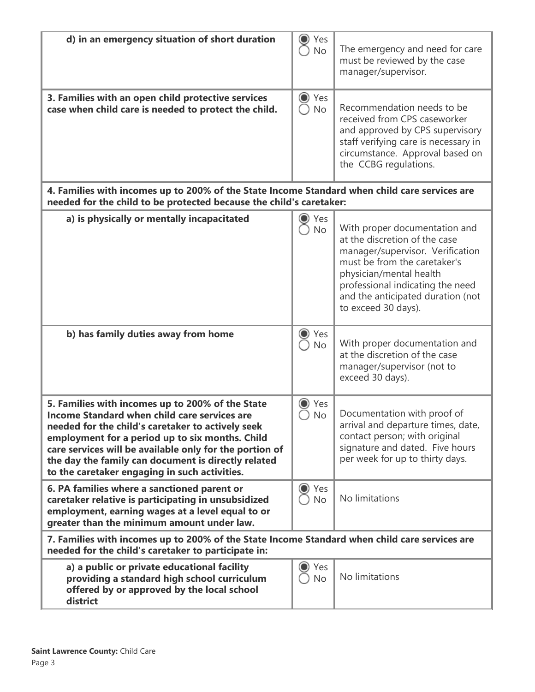| d) in an emergency situation of short duration                                                                                                                                                                                                                                                                                                                              | Yes<br><b>No</b>                | The emergency and need for care<br>must be reviewed by the case<br>manager/supervisor.                                                                                                                                                                        |
|-----------------------------------------------------------------------------------------------------------------------------------------------------------------------------------------------------------------------------------------------------------------------------------------------------------------------------------------------------------------------------|---------------------------------|---------------------------------------------------------------------------------------------------------------------------------------------------------------------------------------------------------------------------------------------------------------|
| 3. Families with an open child protective services<br>case when child care is needed to protect the child.                                                                                                                                                                                                                                                                  | $\odot$<br>Yes<br><b>No</b>     | Recommendation needs to be<br>received from CPS caseworker<br>and approved by CPS supervisory<br>staff verifying care is necessary in<br>circumstance. Approval based on<br>the CCBG regulations.                                                             |
| 4. Families with incomes up to 200% of the State Income Standard when child care services are<br>needed for the child to be protected because the child's caretaker:                                                                                                                                                                                                        |                                 |                                                                                                                                                                                                                                                               |
| a) is physically or mentally incapacitated                                                                                                                                                                                                                                                                                                                                  | Yes<br><b>No</b>                | With proper documentation and<br>at the discretion of the case<br>manager/supervisor. Verification<br>must be from the caretaker's<br>physician/mental health<br>professional indicating the need<br>and the anticipated duration (not<br>to exceed 30 days). |
| b) has family duties away from home                                                                                                                                                                                                                                                                                                                                         | Yes<br><b>No</b>                | With proper documentation and<br>at the discretion of the case<br>manager/supervisor (not to<br>exceed 30 days).                                                                                                                                              |
| 5. Families with incomes up to 200% of the State<br>Income Standard when child care services are<br>needed for the child's caretaker to actively seek<br>employment for a period up to six months. Child<br>care services will be available only for the portion of<br>the day the family can document is directly related<br>to the caretaker engaging in such activities. | Yes<br>No                       | Documentation with proof of<br>arrival and departure times, date,<br>contact person; with original<br>signature and dated. Five hours<br>per week for up to thirty days.                                                                                      |
| 6. PA families where a sanctioned parent or<br>caretaker relative is participating in unsubsidized<br>employment, earning wages at a level equal to or<br>greater than the minimum amount under law.                                                                                                                                                                        | Yes<br>$\bf{O}$<br><b>No</b>    | No limitations                                                                                                                                                                                                                                                |
| 7. Families with incomes up to 200% of the State Income Standard when child care services are<br>needed for the child's caretaker to participate in:                                                                                                                                                                                                                        |                                 |                                                                                                                                                                                                                                                               |
| a) a public or private educational facility<br>providing a standard high school curriculum<br>offered by or approved by the local school<br>district                                                                                                                                                                                                                        | Yes<br>$\mathbf O$<br><b>No</b> | No limitations                                                                                                                                                                                                                                                |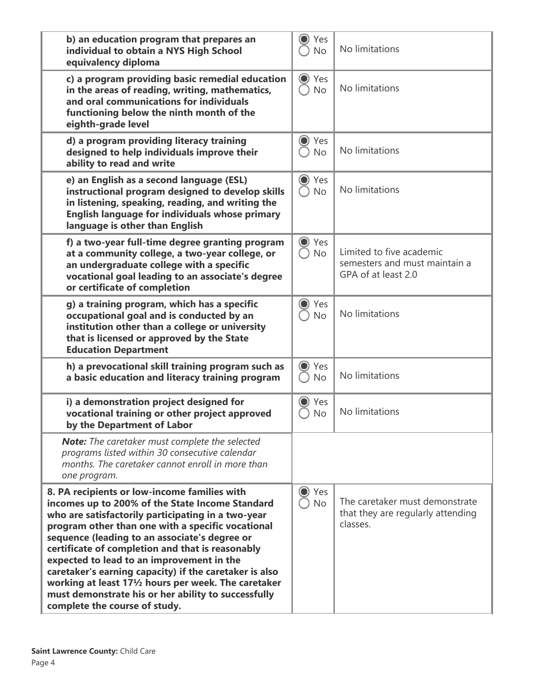| b) an education program that prepares an<br>individual to obtain a NYS High School<br>equivalency diploma                                                                                                                                                                                                                                                                                                                                                                                                                                                                                       | Yes<br><b>No</b>                           | No limitations                                                                   |
|-------------------------------------------------------------------------------------------------------------------------------------------------------------------------------------------------------------------------------------------------------------------------------------------------------------------------------------------------------------------------------------------------------------------------------------------------------------------------------------------------------------------------------------------------------------------------------------------------|--------------------------------------------|----------------------------------------------------------------------------------|
| c) a program providing basic remedial education<br>in the areas of reading, writing, mathematics,<br>and oral communications for individuals<br>functioning below the ninth month of the<br>eighth-grade level                                                                                                                                                                                                                                                                                                                                                                                  | Yes<br>$\odot$<br><b>No</b>                | No limitations                                                                   |
| d) a program providing literacy training<br>designed to help individuals improve their<br>ability to read and write                                                                                                                                                                                                                                                                                                                                                                                                                                                                             | $\bigcirc$<br>Yes<br><b>No</b>             | No limitations                                                                   |
| e) an English as a second language (ESL)<br>instructional program designed to develop skills<br>in listening, speaking, reading, and writing the<br><b>English language for individuals whose primary</b><br>language is other than English                                                                                                                                                                                                                                                                                                                                                     | Yes<br>$\bf{O}$<br><b>No</b>               | No limitations                                                                   |
| f) a two-year full-time degree granting program<br>at a community college, a two-year college, or<br>an undergraduate college with a specific<br>vocational goal leading to an associate's degree<br>or certificate of completion                                                                                                                                                                                                                                                                                                                                                               | Yes<br>$\rm{O}$<br>$\bigcirc$<br><b>No</b> | Limited to five academic<br>semesters and must maintain a<br>GPA of at least 2.0 |
| g) a training program, which has a specific<br>occupational goal and is conducted by an<br>institution other than a college or university<br>that is licensed or approved by the State<br><b>Education Department</b>                                                                                                                                                                                                                                                                                                                                                                           | Yes<br>0<br><b>No</b>                      | No limitations                                                                   |
| h) a prevocational skill training program such as<br>a basic education and literacy training program                                                                                                                                                                                                                                                                                                                                                                                                                                                                                            | O<br>Yes<br><b>No</b>                      | No limitations                                                                   |
| i) a demonstration project designed for<br>vocational training or other project approved<br>by the Department of Labor                                                                                                                                                                                                                                                                                                                                                                                                                                                                          | $\odot$<br>Yes<br>No                       | No limitations                                                                   |
| <b>Note:</b> The caretaker must complete the selected<br>programs listed within 30 consecutive calendar<br>months. The caretaker cannot enroll in more than<br>one program.                                                                                                                                                                                                                                                                                                                                                                                                                     |                                            |                                                                                  |
| 8. PA recipients or low-income families with<br>incomes up to 200% of the State Income Standard<br>who are satisfactorily participating in a two-year<br>program other than one with a specific vocational<br>sequence (leading to an associate's degree or<br>certificate of completion and that is reasonably<br>expected to lead to an improvement in the<br>caretaker's earning capacity) if the caretaker is also<br>working at least 17 <sup>1</sup> / <sub>2</sub> hours per week. The caretaker<br>must demonstrate his or her ability to successfully<br>complete the course of study. | $\odot$<br>Yes<br><b>No</b>                | The caretaker must demonstrate<br>that they are regularly attending<br>classes.  |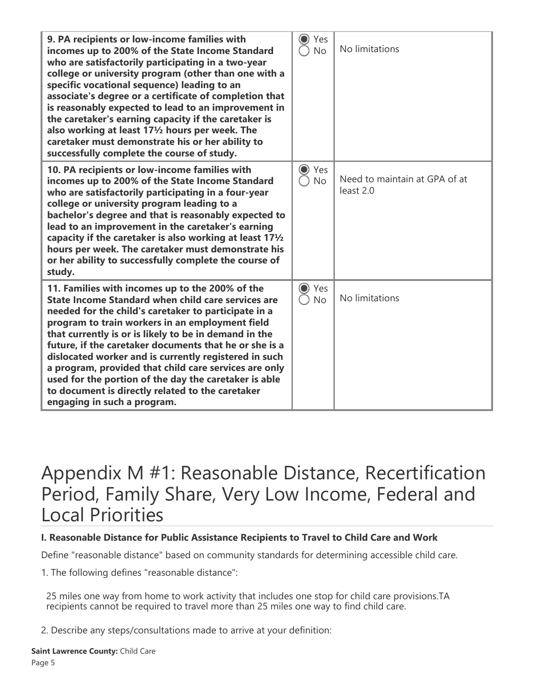| 9. PA recipients or low-income families with<br>incomes up to 200% of the State Income Standard<br>who are satisfactorily participating in a two-year<br>college or university program (other than one with a<br>specific vocational sequence) leading to an<br>associate's degree or a certificate of completion that<br>is reasonably expected to lead to an improvement in<br>the caretaker's earning capacity if the caretaker is<br>also working at least 171/2 hours per week. The<br>caretaker must demonstrate his or her ability to<br>successfully complete the course of study.        | Yes<br><b>No</b>               | No limitations                             |
|---------------------------------------------------------------------------------------------------------------------------------------------------------------------------------------------------------------------------------------------------------------------------------------------------------------------------------------------------------------------------------------------------------------------------------------------------------------------------------------------------------------------------------------------------------------------------------------------------|--------------------------------|--------------------------------------------|
| 10. PA recipients or low-income families with<br>incomes up to 200% of the State Income Standard<br>who are satisfactorily participating in a four-year<br>college or university program leading to a<br>bachelor's degree and that is reasonably expected to<br>lead to an improvement in the caretaker's earning<br>capacity if the caretaker is also working at least $17\frac{1}{2}$<br>hours per week. The caretaker must demonstrate his<br>or her ability to successfully complete the course of<br>study.                                                                                 | $\odot$<br>Yes<br>No           | Need to maintain at GPA of at<br>least 2.0 |
| 11. Families with incomes up to the 200% of the<br>State Income Standard when child care services are<br>needed for the child's caretaker to participate in a<br>program to train workers in an employment field<br>that currently is or is likely to be in demand in the<br>future, if the caretaker documents that he or she is a<br>dislocated worker and is currently registered in such<br>a program, provided that child care services are only<br>used for the portion of the day the caretaker is able<br>to document is directly related to the caretaker<br>engaging in such a program. | Yes<br>$\bigcirc$<br><b>No</b> | No limitations                             |

## Appendix M #1: Reasonable Distance, Recertification Period, Family Share, Very Low Income, Federal and Local Priorities

### **I. Reasonable Distance for Public Assistance Recipients to Travel to Child Care and Work**

Define "reasonable distance" based on community standards for determining accessible child care.

1. The following defines "reasonable distance":

25 miles one way from home to work activity that includes one stop for child care provisions.TA recipients cannot be required to travel more than 25 miles one way to find child care.

2. Describe any steps/consultations made to arrive at your definition: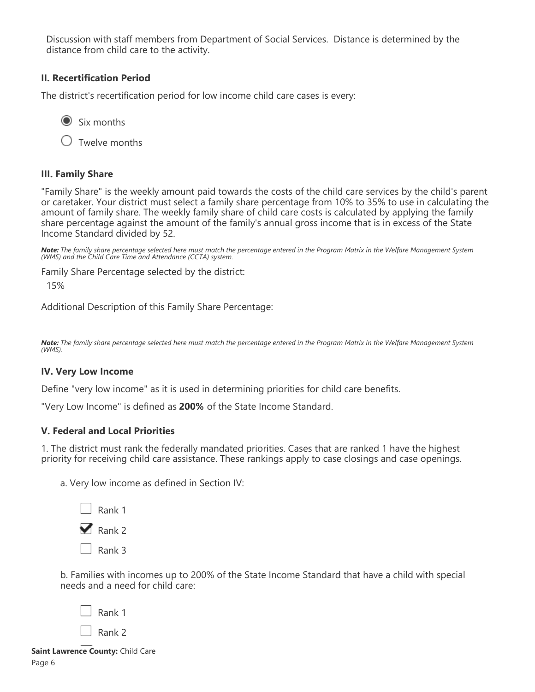Discussion with staff members from Department of Social Services. Distance is determined by the distance from child care to the activity.

### **II. Recertification Period**

The district's recertification period for low income child care cases is every:

 $\odot$  Six months

 $\bigcirc$  Twelve months

### **III. Family Share**

"Family Share" is the weekly amount paid towards the costs of the child care services by the child's parent or caretaker. Your district must select a family share percentage from 10% to 35% to use in calculating the amount of family share. The weekly family share of child care costs is calculated by applying the family share percentage against the amount of the family's annual gross income that is in excess of the State Income Standard divided by 52.

*Note: The family share percentage selected here must match the percentage entered in the Program Matrix in the Welfare Management System (WMS) and the Child Care Time and Attendance (CCTA) system.*

Family Share Percentage selected by the district:

15%

Additional Description of this Family Share Percentage:

*Note: The family share percentage selected here must match the percentage entered in the Program Matrix in the Welfare Management System (WMS).*

### **IV. Very Low Income**

Define "very low income" as it is used in determining priorities for child care benefits.

"Very Low Income" is defined as **200%** of the State Income Standard.

### **V. Federal and Local Priorities**

1. The district must rank the federally mandated priorities. Cases that are ranked 1 have the highest priority for receiving child care assistance. These rankings apply to case closings and case openings.

a. Very low income as defined in Section IV:



b. Families with incomes up to 200% of the State Income Standard that have a child with special needs and a need for child care:

| Rank 1 |  |
|--------|--|
| Rank 2 |  |
|        |  |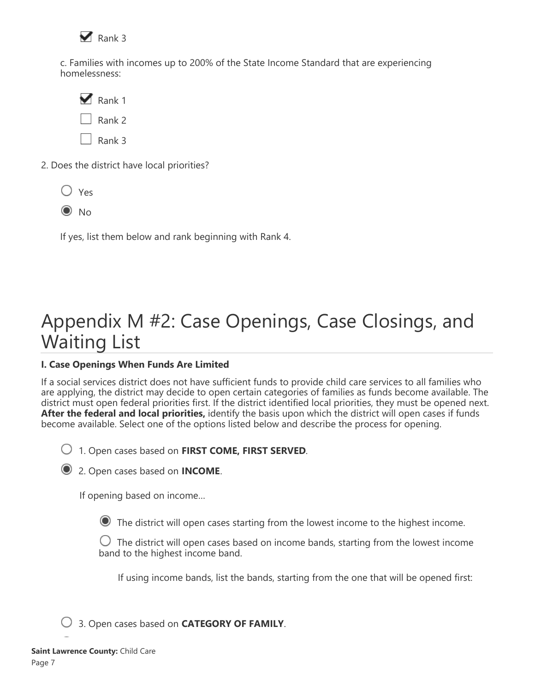

c. Families with incomes up to 200% of the State Income Standard that are experiencing homelessness:

 $\blacktriangleright$  Rank 1 Rank 2 Rank 3

2. Does the district have local priorities?



 $\odot$  No

If yes, list them below and rank beginning with Rank 4.

# Appendix M #2: Case Openings, Case Closings, and Waiting List

### **I. Case Openings When Funds Are Limited**

If a social services district does not have sufficient funds to provide child care services to all families who are applying, the district may decide to open certain categories of families as funds become available. The district must open federal priorities first. If the district identified local priorities, they must be opened next. **After the federal and local priorities,** identify the basis upon which the district will open cases if funds become available. Select one of the options listed below and describe the process for opening.

1. Open cases based on **FIRST COME, FIRST SERVED**.

2. Open cases based on **INCOME**.

If opening based on income…

The district will open cases starting from the lowest income to the highest income.

 $\bigcup$  The district will open cases based on income bands, starting from the lowest income band to the highest income band.

If using income bands, list the bands, starting from the one that will be opened first:

3. Open cases based on **CATEGORY OF FAMILY**.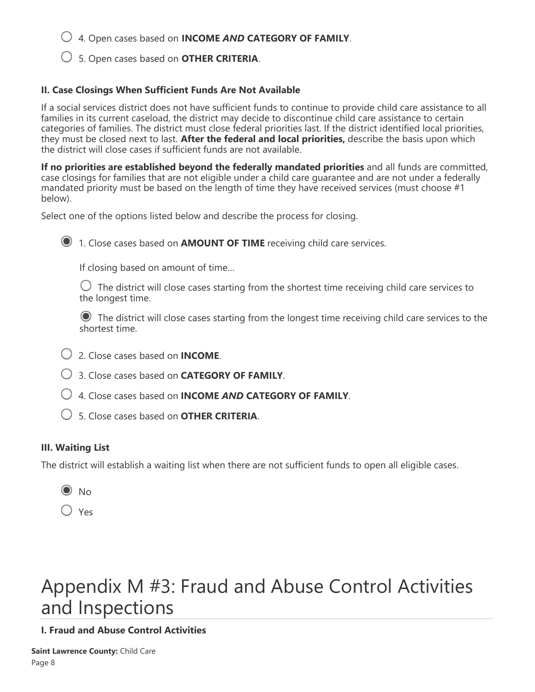4. Open cases based on **INCOME** *AND* **CATEGORY OF FAMILY**.

5. Open cases based on **OTHER CRITERIA**.

### **II. Case Closings When Sufficient Funds Are Not Available**

If a social services district does not have sufficient funds to continue to provide child care assistance to all families in its current caseload, the district may decide to discontinue child care assistance to certain categories of families. The district must close federal priorities last. If the district identified local priorities, they must be closed next to last. **After the federal and local priorities,** describe the basis upon which the district will close cases if sufficient funds are not available.

**If no priorities are established beyond the federally mandated priorities** and all funds are committed, case closings for families that are not eligible under a child care guarantee and are not under a federally mandated priority must be based on the length of time they have received services (must choose #1 below).

Select one of the options listed below and describe the process for closing.

1. Close cases based on **AMOUNT OF TIME** receiving child care services.

If closing based on amount of time…

 $\bigcirc$  The district will close cases starting from the shortest time receiving child care services to the longest time.

 The district will close cases starting from the longest time receiving child care services to the shortest time.

- 2. Close cases based on **INCOME**.
- 3. Close cases based on **CATEGORY OF FAMILY**.
- 4. Close cases based on **INCOME** *AND* **CATEGORY OF FAMILY**.
- 5. Close cases based on **OTHER CRITERIA**.

### **III. Waiting List**

The district will establish a waiting list when there are not sufficient funds to open all eligible cases.

 $\odot$  No

 $\bigcirc$  Yes

# Appendix M #3: Fraud and Abuse Control Activities and Inspections

### **I. Fraud and Abuse Control Activities**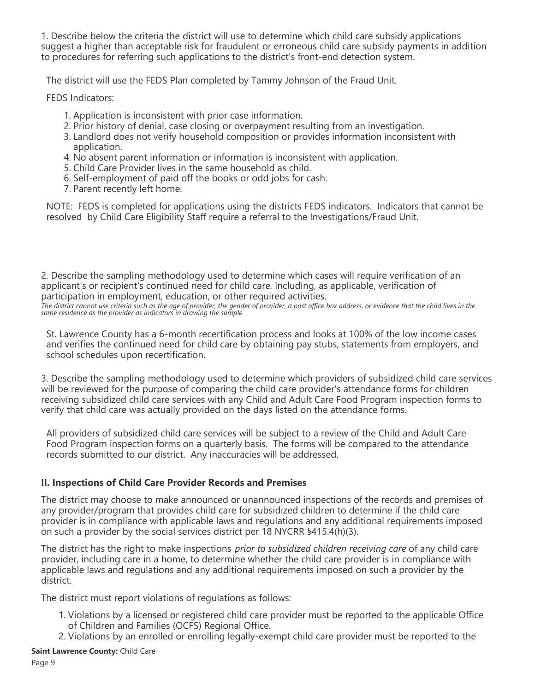1. Describe below the criteria the district will use to determine which child care subsidy applications suggest a higher than acceptable risk for fraudulent or erroneous child care subsidy payments in addition to procedures for referring such applications to the district's front-end detection system.

The district will use the FEDS Plan completed by Tammy Johnson of the Fraud Unit.

FEDS Indicators:

- 1. Application is inconsistent with prior case information.
- 2. Prior history of denial, case closing or overpayment resulting from an investigation.
- 3. Landlord does not verify household composition or provides information inconsistent with application.
- 4. No absent parent information or information is inconsistent with application.
- 5. Child Care Provider lives in the same household as child.
- 6. Self-employment of paid off the books or odd jobs for cash.
- 7. Parent recently left home.

NOTE: FEDS is completed for applications using the districts FEDS indicators. Indicators that cannot be resolved by Child Care Eligibility Staff require a referral to the Investigations/Fraud Unit.

2. Describe the sampling methodology used to determine which cases will require verification of an applicant's or recipient's continued need for child care, including, as applicable, verification of participation in employment, education, or other required activities.

*The district cannot use criteria such as the age of provider, the gender of provider, a post office box address, or evidence that the child lives in the same residence as the provider as indicators in drawing the sample.*

St. Lawrence County has a 6-month recertification process and looks at 100% of the low income cases and verifies the continued need for child care by obtaining pay stubs, statements from employers, and school schedules upon recertification.

3. Describe the sampling methodology used to determine which providers of subsidized child care services will be reviewed for the purpose of comparing the child care provider's attendance forms for children receiving subsidized child care services with any Child and Adult Care Food Program inspection forms to verify that child care was actually provided on the days listed on the attendance forms.

All providers of subsidized child care services will be subject to a review of the Child and Adult Care Food Program inspection forms on a quarterly basis. The forms will be compared to the attendance records submitted to our district. Any inaccuracies will be addressed.

### **II. Inspections of Child Care Provider Records and Premises**

The district may choose to make announced or unannounced inspections of the records and premises of any provider/program that provides child care for subsidized children to determine if the child care provider is in compliance with applicable laws and regulations and any additional requirements imposed on such a provider by the social services district per 18 NYCRR §415.4(h)(3).

The district has the right to make inspections *prior to subsidized children receiving care* of any child care provider, including care in a home, to determine whether the child care provider is in compliance with applicable laws and regulations and any additional requirements imposed on such a provider by the district.

The district must report violations of regulations as follows:

- 1. Violations by a licensed or registered child care provider must be reported to the applicable Office of Children and Families (OCFS) Regional Office.
- 2. Violations by an enrolled or enrolling legally-exempt child care provider must be reported to the

**Saint Lawrence County:** Child Care

Page 9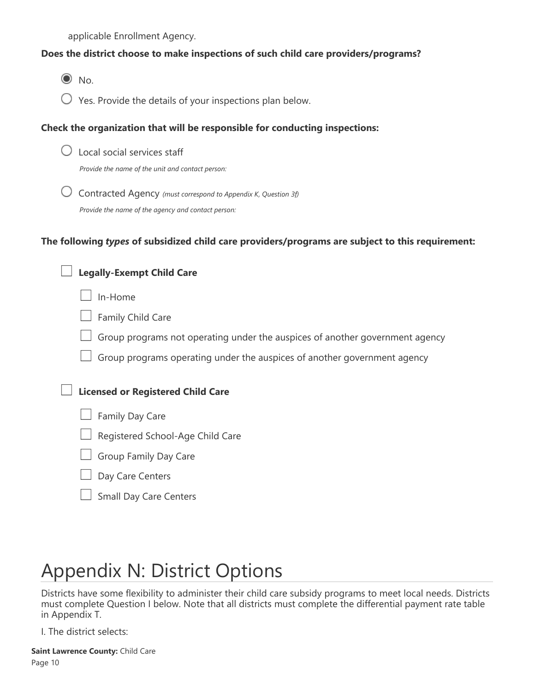applicable Enrollment Agency.

### **Does the district choose to make inspections of such child care providers/programs?**

 $\odot$  No.

 $\bigcirc$  Yes. Provide the details of your inspections plan below.

### **Check the organization that will be responsible for conducting inspections:**

|  | $\bigcirc$ Local social services staff |  |
|--|----------------------------------------|--|

*Provide the name of the unit and contact person:*

 Contracted Agency *(must correspond to Appendix K, Question 3f) Provide the name of the agency and contact person:*

### **The following** *types* **of subsidized child care providers/programs are subject to this requirement:**

| <b>Legally-Exempt Child Care</b>                                             |
|------------------------------------------------------------------------------|
| In-Home                                                                      |
| Family Child Care                                                            |
| Group programs not operating under the auspices of another government agency |
| Group programs operating under the auspices of another government agency     |
| <b>Licensed or Registered Child Care</b>                                     |
| Family Day Care                                                              |
| Registered School-Age Child Care                                             |
| Group Family Day Care                                                        |
| Day Care Centers                                                             |
| <b>Small Day Care Centers</b>                                                |

# Appendix N: District Options

Districts have some flexibility to administer their child care subsidy programs to meet local needs. Districts must complete Question I below. Note that all districts must complete the differential payment rate table in Appendix T.

I. The district selects: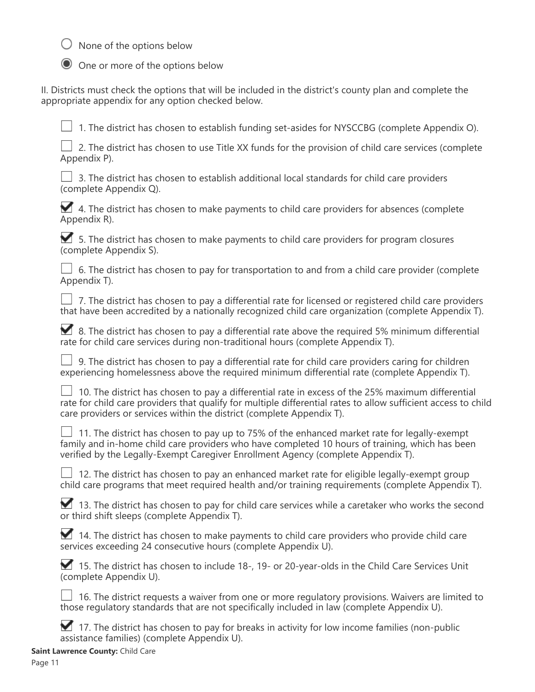$\bigcirc$  None of the options below



O One or more of the options below

II. Districts must check the options that will be included in the district's county plan and complete the appropriate appendix for any option checked below.

 $\Box$  1. The district has chosen to establish funding set-asides for NYSCCBG (complete Appendix O).

 $\perp$  2. The district has chosen to use Title XX funds for the provision of child care services (complete Appendix P).

 $\Box$  3. The district has chosen to establish additional local standards for child care providers (complete Appendix Q).

 $\blacktriangleright$  4. The district has chosen to make payments to child care providers for absences (complete Appendix R).

 5. The district has chosen to make payments to child care providers for program closures (complete Appendix S).

 $\perp$  6. The district has chosen to pay for transportation to and from a child care provider (complete Appendix T).

 $\Box$  7. The district has chosen to pay a differential rate for licensed or registered child care providers that have been accredited by a nationally recognized child care organization (complete Appendix T).

8. The district has chosen to pay a differential rate above the required 5% minimum differential rate for child care services during non-traditional hours (complete Appendix T).

 $\Box$  9. The district has chosen to pay a differential rate for child care providers caring for children experiencing homelessness above the required minimum differential rate (complete Appendix T).

 10. The district has chosen to pay a differential rate in excess of the 25% maximum differential rate for child care providers that qualify for multiple differential rates to allow sufficient access to child care providers or services within the district (complete Appendix T).

 $\perp$  11. The district has chosen to pay up to 75% of the enhanced market rate for legally-exempt family and in-home child care providers who have completed 10 hours of training, which has been verified by the Legally-Exempt Caregiver Enrollment Agency (complete Appendix T).

 $\Box$  12. The district has chosen to pay an enhanced market rate for eligible legally-exempt group child care programs that meet required health and/or training requirements (complete Appendix T).

13. The district has chosen to pay for child care services while a caretaker who works the second or third shift sleeps (complete Appendix T).

14. The district has chosen to make payments to child care providers who provide child care services exceeding 24 consecutive hours (complete Appendix U).

15. The district has chosen to include 18-, 19- or 20-year-olds in the Child Care Services Unit (complete Appendix U).

 $\Box$  16. The district requests a waiver from one or more requlatory provisions. Waivers are limited to those regulatory standards that are not specifically included in law (complete Appendix U).

17. The district has chosen to pay for breaks in activity for low income families (non-public assistance families) (complete Appendix U).

**Saint Lawrence County:** Child Care

Page 11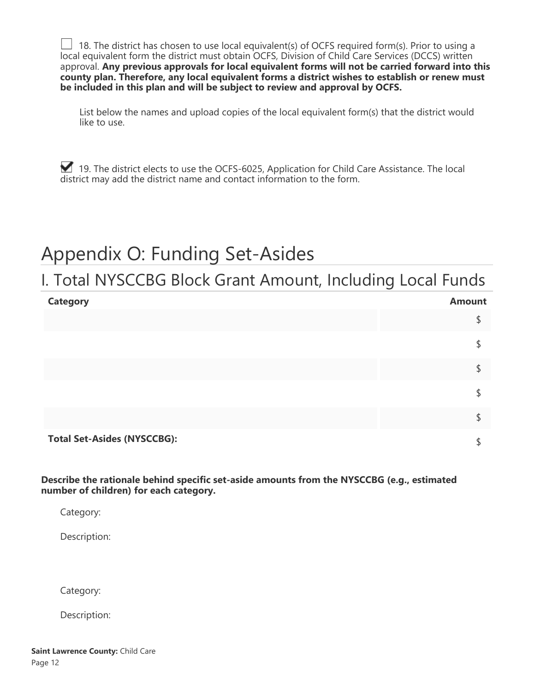18. The district has chosen to use local equivalent(s) of OCFS required form(s). Prior to using a local equivalent form the district must obtain OCFS, Division of Child Care Services (DCCS) written approval. **Any previous approvals for local equivalent forms will not be carried forward into this county plan. Therefore, any local equivalent forms a district wishes to establish or renew must be included in this plan and will be subject to review and approval by OCFS.**

List below the names and upload copies of the local equivalent form(s) that the district would like to use.

19. The district elects to use the OCFS-6025, Application for Child Care Assistance. The local district may add the district name and contact information to the form.

# Appendix O: Funding Set-Asides

### I. Total NYSCCBG Block Grant Amount, Including Local Funds

| <b>Category</b>                    | <b>Amount</b> |
|------------------------------------|---------------|
|                                    |               |
|                                    |               |
|                                    |               |
|                                    |               |
|                                    |               |
| <b>Total Set-Asides (NYSCCBG):</b> |               |

**Describe the rationale behind specific set-aside amounts from the NYSCCBG (e.g., estimated number of children) for each category.**

Category:

Description:

Category:

Description: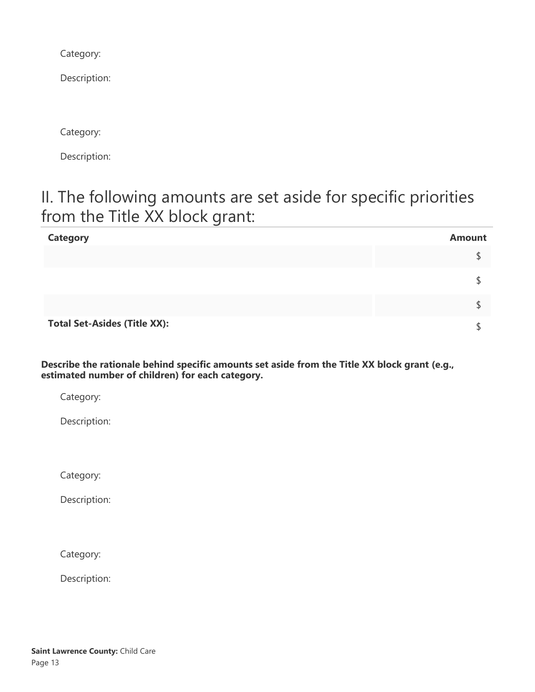Category:

Description:

Category:

Description:

### II. The following amounts are set aside for specific priorities from the Title XX block grant:

| <b>Category</b>                     | <b>Amount</b> |
|-------------------------------------|---------------|
|                                     |               |
|                                     |               |
|                                     |               |
| <b>Total Set-Asides (Title XX):</b> |               |

**Describe the rationale behind specific amounts set aside from the Title XX block grant (e.g., estimated number of children) for each category.**

Category:

Description:

Category:

Description:

Category:

Description: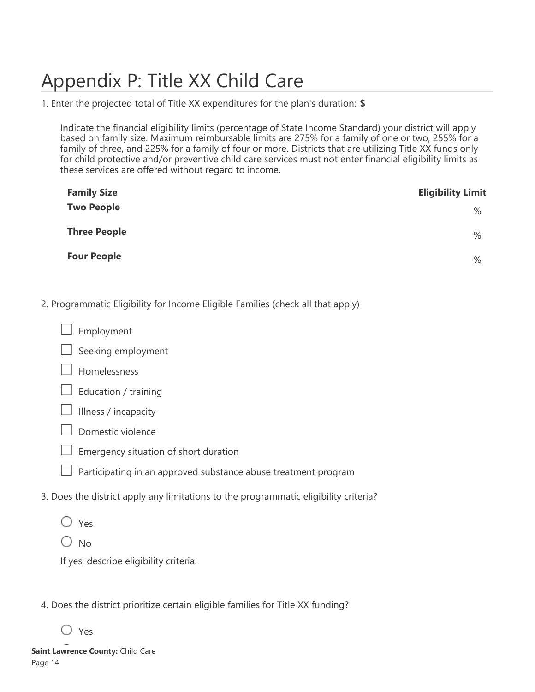# Appendix P: Title XX Child Care

1. Enter the projected total of Title XX expenditures for the plan's duration: **\$**

Indicate the financial eligibility limits (percentage of State Income Standard) your district will apply based on family size. Maximum reimbursable limits are 275% for a family of one or two, 255% for a family of three, and 225% for a family of four or more. Districts that are utilizing Title XX funds only for child protective and/or preventive child care services must not enter financial eligibility limits as these services are offered without regard to income.

| <b>Family Size</b>  | <b>Eligibility Limit</b> |
|---------------------|--------------------------|
| <b>Two People</b>   | %                        |
| <b>Three People</b> | $\%$                     |
| <b>Four People</b>  | %                        |

### 2. Programmatic Eligibility for Income Eligible Families (check all that apply)

Employment



Homelessness

|  |  | Education / training |  |
|--|--|----------------------|--|
|--|--|----------------------|--|



- Domestic violence
- Emergency situation of short duration
- $\Box$  Participating in an approved substance abuse treatment program
- 3. Does the district apply any limitations to the programmatic eligibility criteria?
	- Yes
	- $\bigcirc$  No

If yes, describe eligibility criteria:

- 4. Does the district prioritize certain eligible families for Title XX funding?
	- Yes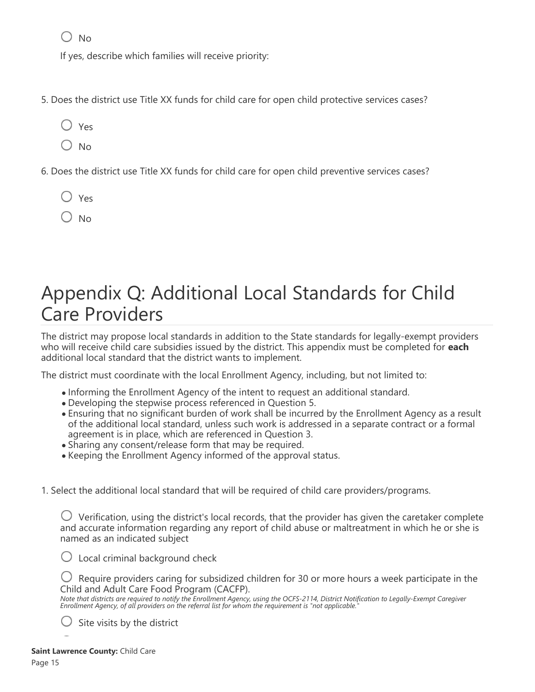$\bigcap$  No

If yes, describe which families will receive priority:

- 5. Does the district use Title XX funds for child care for open child protective services cases?
	- Yes
	- $\bigcirc$  No
- 6. Does the district use Title XX funds for child care for open child preventive services cases?
	- Yes
	- $\bigcirc$  No

## Appendix Q: Additional Local Standards for Child Care Providers

The district may propose local standards in addition to the State standards for legally-exempt providers who will receive child care subsidies issued by the district. This appendix must be completed for **each** additional local standard that the district wants to implement.

The district must coordinate with the local Enrollment Agency, including, but not limited to:

- Informing the Enrollment Agency of the intent to request an additional standard.
- Developing the stepwise process referenced in Question 5.
- Ensuring that no significant burden of work shall be incurred by the Enrollment Agency as a result of the additional local standard, unless such work is addressed in a separate contract or a formal agreement is in place, which are referenced in Question 3.
- Sharing any consent/release form that may be required.
- Keeping the Enrollment Agency informed of the approval status.
- 1. Select the additional local standard that will be required of child care providers/programs.

 $\bigcup$  Verification, using the district's local records, that the provider has given the caretaker complete and accurate information regarding any report of child abuse or maltreatment in which he or she is named as an indicated subject

 $\bigcirc$  Local criminal background check

 $\bigcup$  Require providers caring for subsidized children for 30 or more hours a week participate in the Child and Adult Care Food Program (CACFP).

*Note that districts are required to notify the Enrollment Agency, using the OCFS-2114, District Notification to Legally-Exempt Caregiver Enrollment Agency, of all providers on the referral list for whom the requirement is "not applicable."*

Site visits by the district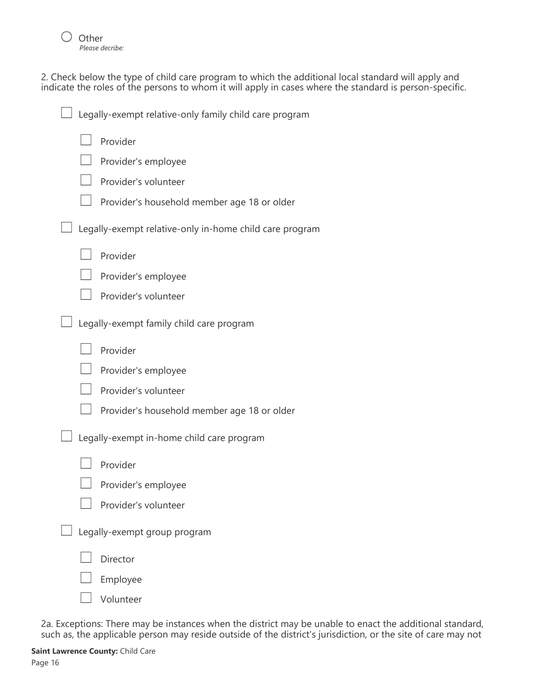

2. Check below the type of child care program to which the additional local standard will apply and indicate the roles of the persons to whom it will apply in cases where the standard is person-specific.

| Legally-exempt relative-only family child care program  |
|---------------------------------------------------------|
| Provider                                                |
| Provider's employee                                     |
| Provider's volunteer                                    |
| Provider's household member age 18 or older             |
| Legally-exempt relative-only in-home child care program |
| Provider                                                |
| Provider's employee                                     |
| Provider's volunteer                                    |
| Legally-exempt family child care program                |
| Provider                                                |
| Provider's employee                                     |
| Provider's volunteer                                    |
| Provider's household member age 18 or older             |
| Legally-exempt in-home child care program               |
| Provider                                                |
| Provider's employee                                     |
| Provider's volunteer                                    |
| Legally-exempt group program                            |
| Director                                                |
| Employee                                                |
| Volunteer                                               |

2a. Exceptions: There may be instances when the district may be unable to enact the additional standard, such as, the applicable person may reside outside of the district's jurisdiction, or the site of care may not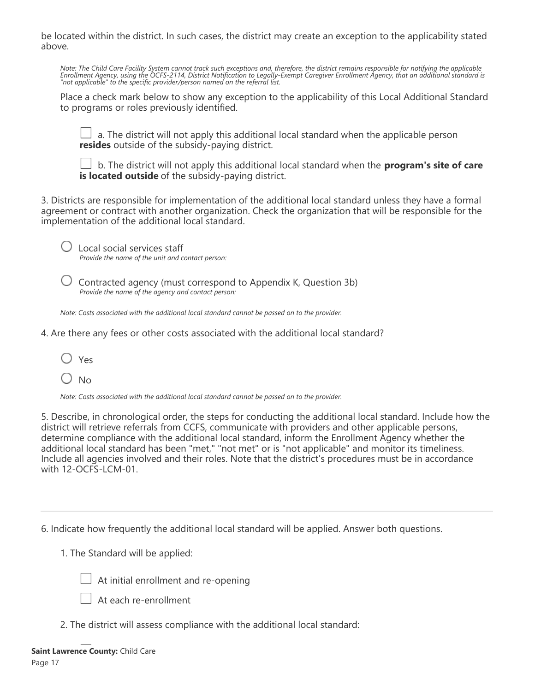be located within the district. In such cases, the district may create an exception to the applicability stated above.

*Note: The Child Care Facility System cannot track such exceptions and, therefore, the district remains responsible for notifying the applicable Enrollment Agency, using the OCFS-2114, District Notification to Legally-Exempt Caregiver Enrollment Agency, that an additional standard is "not applicable" to the specific provider/person named on the referral list.*

Place a check mark below to show any exception to the applicability of this Local Additional Standard to programs or roles previously identified.

 a. The district will not apply this additional local standard when the applicable person **resides** outside of the subsidy-paying district.

 b. The district will not apply this additional local standard when the **program's site of care is located outside** of the subsidy-paying district.

3. Districts are responsible for implementation of the additional local standard unless they have a formal agreement or contract with another organization. Check the organization that will be responsible for the implementation of the additional local standard.

 $\cup$  Local social services staff

*Provide the name of the unit and contact person:*

 $\bigcirc$  Contracted agency (must correspond to Appendix K, Question 3b) *Provide the name of the agency and contact person:*

*Note: Costs associated with the additional local standard cannot be passed on to the provider.*

4. Are there any fees or other costs associated with the additional local standard?

Yes

 $\bigcirc$  No

*Note: Costs associated with the additional local standard cannot be passed on to the provider.*

5. Describe, in chronological order, the steps for conducting the additional local standard. Include how the district will retrieve referrals from CCFS, communicate with providers and other applicable persons, determine compliance with the additional local standard, inform the Enrollment Agency whether the additional local standard has been "met," "not met" or is "not applicable" and monitor its timeliness. Include all agencies involved and their roles. Note that the district's procedures must be in accordance with 12-OCFS-LCM-01.

6. Indicate how frequently the additional local standard will be applied. Answer both questions.

1. The Standard will be applied:



 $\perp$  At initial enrollment and re-opening

At each re-enrollment

2. The district will assess compliance with the additional local standard: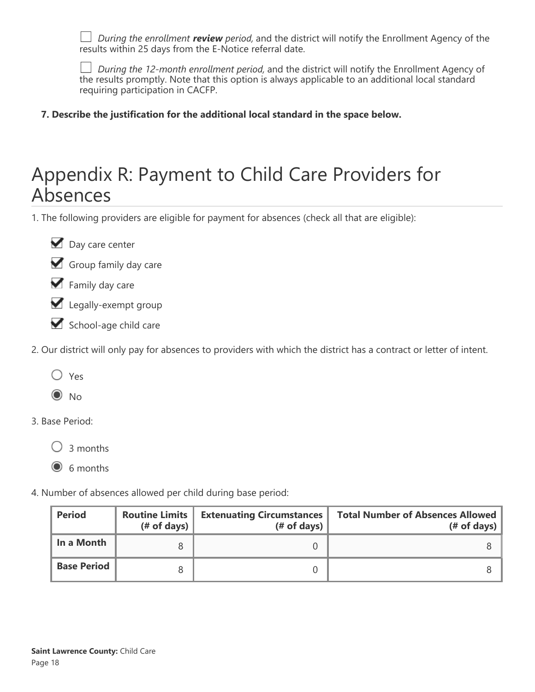*During the enrollment review period,* and the district will notify the Enrollment Agency of the results within 25 days from the E-Notice referral date.

*During the 12-month enrollment period,* and the district will notify the Enrollment Agency of the results promptly. Note that this option is always applicable to an additional local standard requiring participation in CACFP.

**7. Describe the justification for the additional local standard in the space below.**

## Appendix R: Payment to Child Care Providers for Absences

1. The following providers are eligible for payment for absences (check all that are eligible):



- Group family day care
- Family day care
- Legally-exempt group
- School-age child care
- 2. Our district will only pay for absences to providers with which the district has a contract or letter of intent.
	- Yes
	- $\odot$  No
- 3. Base Period:

 $\bigcirc$  3 months

 $\odot$  6 months

4. Number of absences allowed per child during base period:

| <b>Period</b>      | <b>Routine Limits</b><br>(# of days) $ $ | <b>Extenuating Circumstances</b><br>$#$ of days) | <b>Total Number of Absences Allowed</b><br>$#$ of days) |
|--------------------|------------------------------------------|--------------------------------------------------|---------------------------------------------------------|
| In a Month         |                                          |                                                  |                                                         |
| <b>Base Period</b> |                                          |                                                  |                                                         |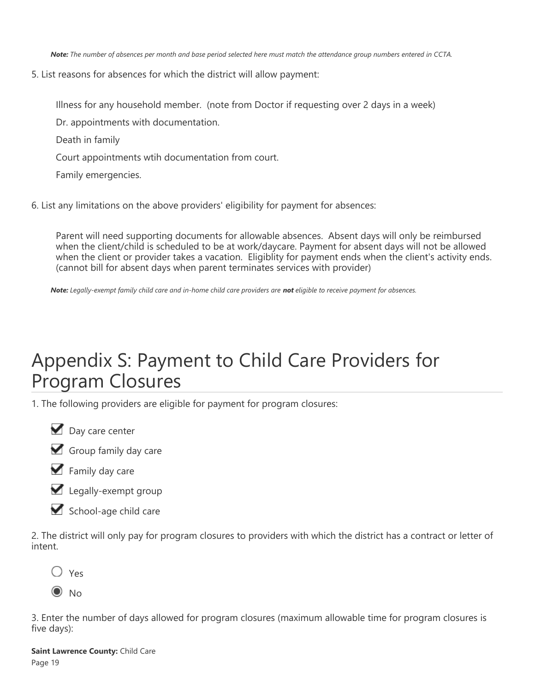*Note: The number of absences per month and base period selected here must match the attendance group numbers entered in CCTA.*

5. List reasons for absences for which the district will allow payment:

Illness for any household member. (note from Doctor if requesting over 2 days in a week)

- Dr. appointments with documentation.
- Death in family
- Court appointments wtih documentation from court.
- Family emergencies.

6. List any limitations on the above providers' eligibility for payment for absences:

Parent will need supporting documents for allowable absences. Absent days will only be reimbursed when the client/child is scheduled to be at work/daycare. Payment for absent days will not be allowed when the client or provider takes a vacation. Eligiblity for payment ends when the client's activity ends. (cannot bill for absent days when parent terminates services with provider)

*Note: Legally-exempt family child care and in-home child care providers are not eligible to receive payment for absences.*

# Appendix S: Payment to Child Care Providers for Program Closures

1. The following providers are eligible for payment for program closures:





- $\blacktriangleright$  Family day care
- Legally-exempt group
- School-age child care

2. The district will only pay for program closures to providers with which the district has a contract or letter of intent.



 $\odot$  No

3. Enter the number of days allowed for program closures (maximum allowable time for program closures is five days):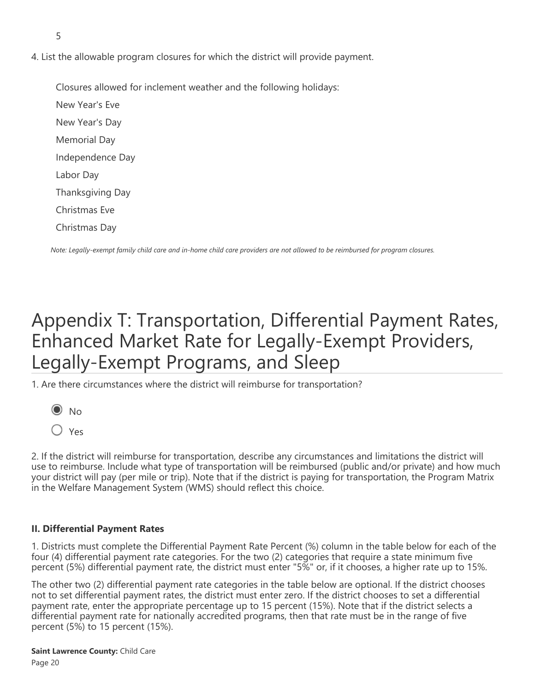- 5
- 4. List the allowable program closures for which the district will provide payment.

Closures allowed for inclement weather and the following holidays: New Year's Eve New Year's Day Memorial Day Independence Day Labor Day Thanksgiving Day Christmas Eve Christmas Day

*Note: Legally-exempt family child care and in-home child care providers are not allowed to be reimbursed for program closures.*

# Appendix T: Transportation, Differential Payment Rates, Enhanced Market Rate for Legally-Exempt Providers, Legally-Exempt Programs, and Sleep

1. Are there circumstances where the district will reimburse for transportation?



 $\bigcirc$  Yes

2. If the district will reimburse for transportation, describe any circumstances and limitations the district will use to reimburse. Include what type of transportation will be reimbursed (public and/or private) and how much your district will pay (per mile or trip). Note that if the district is paying for transportation, the Program Matrix in the Welfare Management System (WMS) should reflect this choice.

### **II. Differential Payment Rates**

1. Districts must complete the Differential Payment Rate Percent (%) column in the table below for each of the four (4) differential payment rate categories. For the two (2) categories that require a state minimum five percent (5%) differential payment rate, the district must enter "5%" or, if it chooses, a higher rate up to 15%.

The other two (2) differential payment rate categories in the table below are optional. If the district chooses not to set differential payment rates, the district must enter zero. If the district chooses to set a differential payment rate, enter the appropriate percentage up to 15 percent (15%). Note that if the district selects a differential payment rate for nationally accredited programs, then that rate must be in the range of five percent (5%) to 15 percent (15%).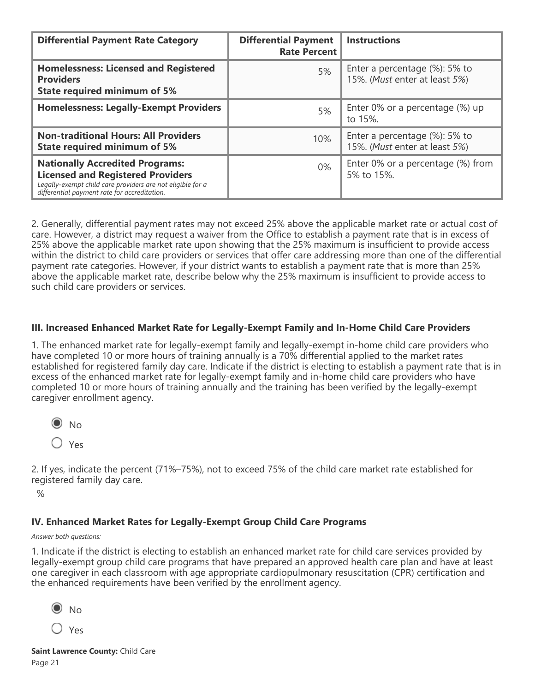| <b>Differential Payment Rate Category</b>                                                                                                                                                        | <b>Differential Payment</b><br><b>Rate Percent</b> | <b>Instructions</b>                                                |
|--------------------------------------------------------------------------------------------------------------------------------------------------------------------------------------------------|----------------------------------------------------|--------------------------------------------------------------------|
| <b>Homelessness: Licensed and Registered</b><br><b>Providers</b><br><b>State required minimum of 5%</b>                                                                                          | 5%                                                 | Enter a percentage $(\%)$ : 5% to<br>15%. (Must enter at least 5%) |
| <b>Homelessness: Legally-Exempt Providers</b>                                                                                                                                                    | 5%                                                 | Enter 0% or a percentage (%) up<br>to 15%.                         |
| <b>Non-traditional Hours: All Providers</b><br><b>State required minimum of 5%</b>                                                                                                               | 10%                                                | Enter a percentage (%): 5% to<br>15%. (Must enter at least 5%)     |
| <b>Nationally Accredited Programs:</b><br><b>Licensed and Registered Providers</b><br>Legally-exempt child care providers are not eligible for a<br>differential payment rate for accreditation. | $0\%$                                              | Enter 0% or a percentage (%) from<br>5% to 15%.                    |

2. Generally, differential payment rates may not exceed 25% above the applicable market rate or actual cost of care. However, a district may request a waiver from the Office to establish a payment rate that is in excess of 25% above the applicable market rate upon showing that the 25% maximum is insufficient to provide access within the district to child care providers or services that offer care addressing more than one of the differential payment rate categories. However, if your district wants to establish a payment rate that is more than 25% above the applicable market rate, describe below why the 25% maximum is insufficient to provide access to such child care providers or services.

### **III. Increased Enhanced Market Rate for Legally-Exempt Family and In-Home Child Care Providers**

1. The enhanced market rate for legally-exempt family and legally-exempt in-home child care providers who have completed 10 or more hours of training annually is a 70% differential applied to the market rates established for registered family day care. Indicate if the district is electing to establish a payment rate that is in excess of the enhanced market rate for legally-exempt family and in-home child care providers who have completed 10 or more hours of training annually and the training has been verified by the legally-exempt caregiver enrollment agency.



 $\bigcirc$  Yes

2. If yes, indicate the percent (71%–75%), not to exceed 75% of the child care market rate established for registered family day care.

 $\%$ 

### **IV. Enhanced Market Rates for Legally-Exempt Group Child Care Programs**

#### *Answer both questions:*

1. Indicate if the district is electing to establish an enhanced market rate for child care services provided by legally-exempt group child care programs that have prepared an approved health care plan and have at least one caregiver in each classroom with age appropriate cardiopulmonary resuscitation (CPR) certification and the enhanced requirements have been verified by the enrollment agency.

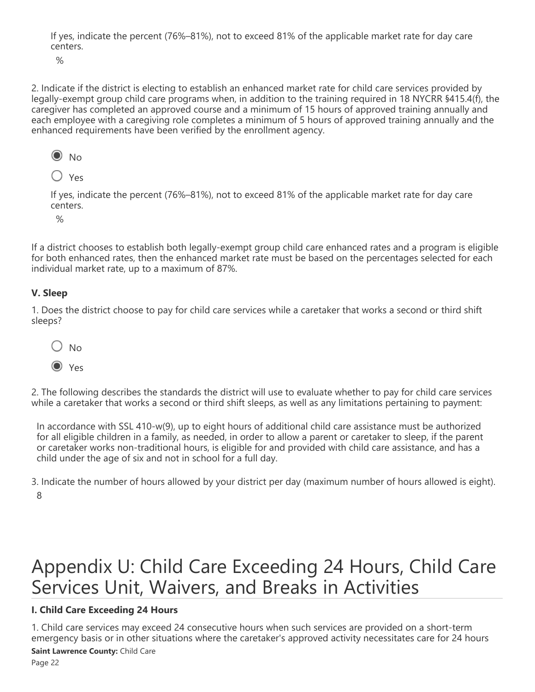If yes, indicate the percent (76%–81%), not to exceed 81% of the applicable market rate for day care centers.

 $\frac{1}{2}$ 

2. Indicate if the district is electing to establish an enhanced market rate for child care services provided by legally-exempt group child care programs when, in addition to the training required in 18 NYCRR §415.4(f), the caregiver has completed an approved course and a minimum of 15 hours of approved training annually and each employee with a caregiving role completes a minimum of 5 hours of approved training annually and the enhanced requirements have been verified by the enrollment agency.



 $\bigcirc$  Yes

If yes, indicate the percent (76%–81%), not to exceed 81% of the applicable market rate for day care centers.

 $\frac{1}{2}$ 

If a district chooses to establish both legally-exempt group child care enhanced rates and a program is eligible for both enhanced rates, then the enhanced market rate must be based on the percentages selected for each individual market rate, up to a maximum of 87%.

### **V. Sleep**

1. Does the district choose to pay for child care services while a caretaker that works a second or third shift sleeps?



2. The following describes the standards the district will use to evaluate whether to pay for child care services while a caretaker that works a second or third shift sleeps, as well as any limitations pertaining to payment:

In accordance with SSL 410-w(9), up to eight hours of additional child care assistance must be authorized for all eligible children in a family, as needed, in order to allow a parent or caretaker to sleep, if the parent or caretaker works non-traditional hours, is eligible for and provided with child care assistance, and has a child under the age of six and not in school for a full day.

3. Indicate the number of hours allowed by your district per day (maximum number of hours allowed is eight). 8

# Appendix U: Child Care Exceeding 24 Hours, Child Care Services Unit, Waivers, and Breaks in Activities

### **I. Child Care Exceeding 24 Hours**

1. Child care services may exceed 24 consecutive hours when such services are provided on a short-term emergency basis or in other situations where the caretaker's approved activity necessitates care for 24 hours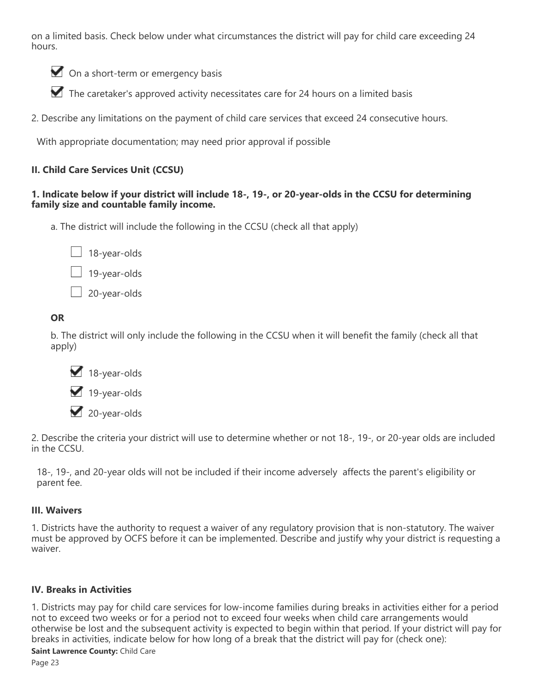on a limited basis. Check below under what circumstances the district will pay for child care exceeding 24 hours.

On a short-term or emergency basis

The caretaker's approved activity necessitates care for 24 hours on a limited basis

2. Describe any limitations on the payment of child care services that exceed 24 consecutive hours.

With appropriate documentation; may need prior approval if possible

### **II. Child Care Services Unit (CCSU)**

### **1. Indicate below if your district will include 18-, 19-, or 20-year-olds in the CCSU for determining family size and countable family income.**

a. The district will include the following in the CCSU (check all that apply)



19-year-olds

20-year-olds

### **OR**

b. The district will only include the following in the CCSU when it will benefit the family (check all that apply)



20-year-olds

2. Describe the criteria your district will use to determine whether or not 18-, 19-, or 20-year olds are included in the CCSU.

18-, 19-, and 20-year olds will not be included if their income adversely affects the parent's eligibility or parent fee.

### **III. Waivers**

1. Districts have the authority to request a waiver of any regulatory provision that is non-statutory. The waiver must be approved by OCFS before it can be implemented. Describe and justify why your district is requesting a waiver.

### **IV. Breaks in Activities**

1. Districts may pay for child care services for low-income families during breaks in activities either for a period not to exceed two weeks or for a period not to exceed four weeks when child care arrangements would otherwise be lost and the subsequent activity is expected to begin within that period. If your district will pay for breaks in activities, indicate below for how long of a break that the district will pay for (check one):

### **Saint Lawrence County:** Child Care

Page 23